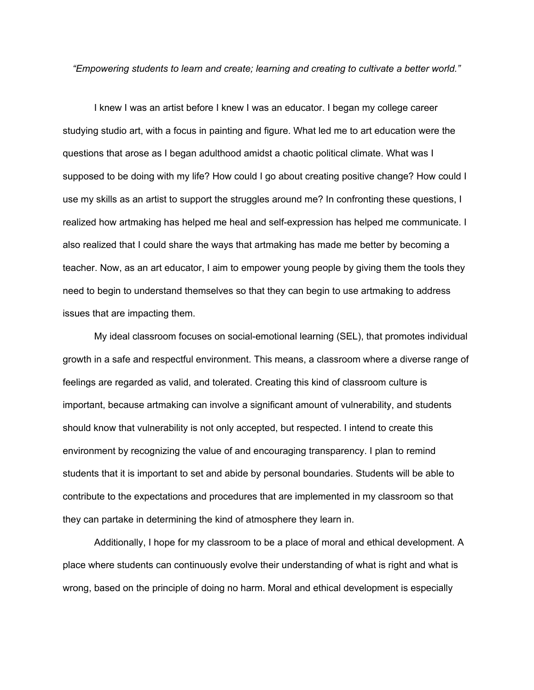*"Empowering students to learn and create; learning and creating to cultivate a better world."*

I knew I was an artist before I knew I was an educator. I began my college career studying studio art, with a focus in painting and figure. What led me to art education were the questions that arose as I began adulthood amidst a chaotic political climate. What was I supposed to be doing with my life? How could I go about creating positive change? How could I use my skills as an artist to support the struggles around me? In confronting these questions, I realized how artmaking has helped me heal and self-expression has helped me communicate. I also realized that I could share the ways that artmaking has made me better by becoming a teacher. Now, as an art educator, I aim to empower young people by giving them the tools they need to begin to understand themselves so that they can begin to use artmaking to address issues that are impacting them.

My ideal classroom focuses on social-emotional learning (SEL), that promotes individual growth in a safe and respectful environment. This means, a classroom where a diverse range of feelings are regarded as valid, and tolerated. Creating this kind of classroom culture is important, because artmaking can involve a significant amount of vulnerability, and students should know that vulnerability is not only accepted, but respected. I intend to create this environment by recognizing the value of and encouraging transparency. I plan to remind students that it is important to set and abide by personal boundaries. Students will be able to contribute to the expectations and procedures that are implemented in my classroom so that they can partake in determining the kind of atmosphere they learn in.

Additionally, I hope for my classroom to be a place of moral and ethical development. A place where students can continuously evolve their understanding of what is right and what is wrong, based on the principle of doing no harm. Moral and ethical development is especially